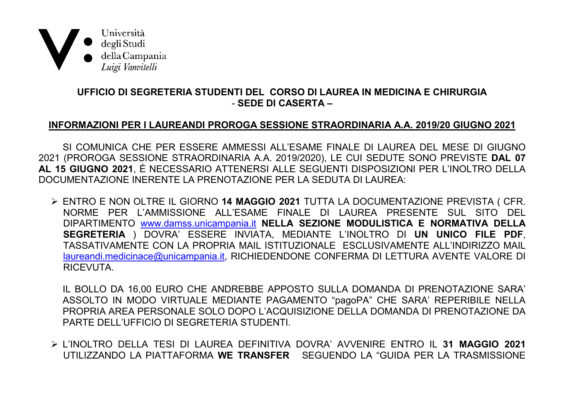

## UFFICIO DI SEGRETERIA STUDENTI DEL CORSO DI LAUREA IN MEDICINA E CHIRURGIA - SEDE DI CASERTA -

## INFORMAZIONI PER I LAUREANDI PROROGA SESSIONE STRAORDINARIA A.A. 2019/20 GIUGNO 2021

SI COMUNICA CHE PER ESSERE AMMESSI ALL'ESAME FINALE DI LAUREA DEL MESE DI GIUGNO 2021 (PROROGA SESSIONE STRAORDINARIA A.A. 2019/2020), LE CUI SEDUTE SONO PREVISTE DAL 07 AL 15 GIUGNO 2021, È NECESSARIO ATTENERSI ALLE SEGUENTI DISPOSIZIONI PER L'INOLTRO DELLA DOCUMENTAZIONE INERENTE LA PRENOTAZIONE PER LA SEDUTA DI LAUREA:

> ENTRO E NON OLTRE IL GIORNO 14 MAGGIO 2021 TUTTA LA DOCUMENTAZIONE PREVISTA ( CFR. NORME PER L'AMMISSIONE ALL'ESAME FINALE DI LAUREA PRESENTE SUL SITO DEL DIPARTIMENTO www.damss.unicampania.it NELLA SEZIONE MODULISTICA E NORMATIVA DELLA SEGRETERIA ) DOVRA' ESSERE INVIATA, MEDIANTE L'INOLTRO DI UN UNICO FILE PDF, TASSATIVAMENTE CON LA PROPRIA MAIL ISTITUZIONALE ESCLUSIVAMENTE ALL'INDIRIZZO MAIL laureandi.medicinace@unicampania.it, RICHIEDENDONE CONFERMA DI LETTURA AVENTE VALORE DI RICEVUTA.

IL BOLLO DA 16.00 EURO CHE ANDREBBE APPOSTO SULLA DOMANDA DI PRENOTAZIONE SARA' ASSOLTO IN MODO VIRTUALE MEDIANTE PAGAMENTO "pagoPA" CHE SARA' REPERIBILE NELLA PROPRIA AREA PERSONALE SOLO DOPO L'ACQUISIZIONE DELLA DOMANDA DI PRENOTAZIONE DA PARTE DELL'UFFICIO DI SEGRETERIA STUDENTI.

> L'INOLTRO DELLA TESI DI LAUREA DEFINITIVA DOVRA' AVVENIRE ENTRO IL 31 MAGGIO 2021 UTILIZZANDO LA PIATTAFORMA WE TRANSFER SEGUENDO LA "GUIDA PER LA TRASMISSIONE